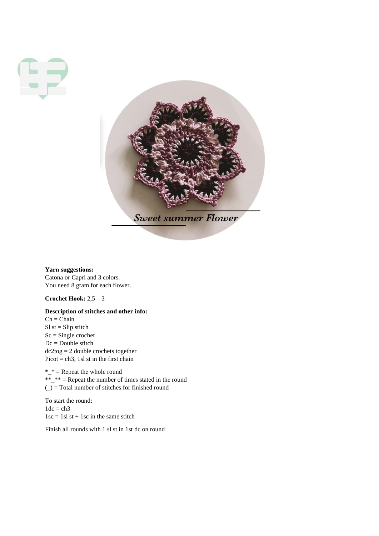



**Yarn suggestions:** Catona or Capri and 3 colors. You need 8 gram for each flower.

**Crochet Hook:** 2,5 – 3

# **Description of stitches and other info:**

 $Ch = Chain$  $SI$  st = Slip stitch  $Sc = Single crochet$ Dc = Double stitch dc2tog = 2 double crochets together Picot = ch3, 1sl st in the first chain

 $*_{-}$  = Repeat the whole round \*\*\_\*\* = Repeat the number of times stated in the round  $($ ) = Total number of stitches for finished round

To start the round:  $1dc = ch3$  $1sc = 1sl$  st + 1sc in the same stitch

Finish all rounds with 1 sl st in 1st dc on round